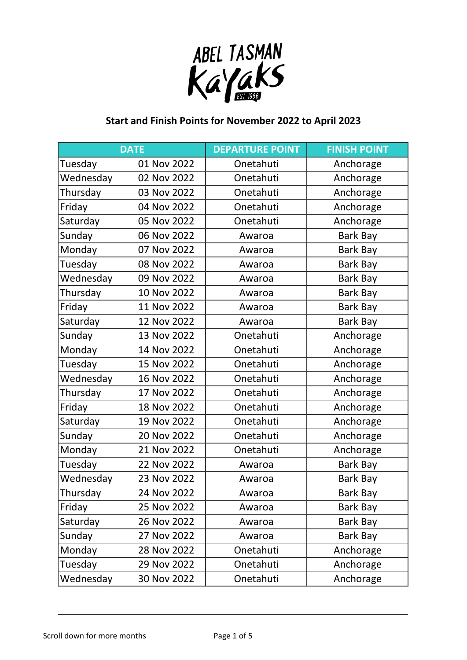

## **Start and Finish Points for November 2022 to April 2023**

|           | <b>DATE</b> | <b>DEPARTURE POINT</b> | <b>FINISH POINT</b> |
|-----------|-------------|------------------------|---------------------|
| Tuesday   | 01 Nov 2022 | Onetahuti              | Anchorage           |
| Wednesday | 02 Nov 2022 | Onetahuti              | Anchorage           |
| Thursday  | 03 Nov 2022 | Onetahuti              | Anchorage           |
| Friday    | 04 Nov 2022 | Onetahuti              | Anchorage           |
| Saturday  | 05 Nov 2022 | Onetahuti              | Anchorage           |
| Sunday    | 06 Nov 2022 | Awaroa                 | Bark Bay            |
| Monday    | 07 Nov 2022 | Awaroa                 | Bark Bay            |
| Tuesday   | 08 Nov 2022 | Awaroa                 | Bark Bay            |
| Wednesday | 09 Nov 2022 | Awaroa                 | Bark Bay            |
| Thursday  | 10 Nov 2022 | Awaroa                 | Bark Bay            |
| Friday    | 11 Nov 2022 | Awaroa                 | Bark Bay            |
| Saturday  | 12 Nov 2022 | Awaroa                 | Bark Bay            |
| Sunday    | 13 Nov 2022 | Onetahuti              | Anchorage           |
| Monday    | 14 Nov 2022 | Onetahuti              | Anchorage           |
| Tuesday   | 15 Nov 2022 | Onetahuti              | Anchorage           |
| Wednesday | 16 Nov 2022 | Onetahuti              | Anchorage           |
| Thursday  | 17 Nov 2022 | Onetahuti              | Anchorage           |
| Friday    | 18 Nov 2022 | Onetahuti              | Anchorage           |
| Saturday  | 19 Nov 2022 | Onetahuti              | Anchorage           |
| Sunday    | 20 Nov 2022 | Onetahuti              | Anchorage           |
| Monday    | 21 Nov 2022 | Onetahuti              | Anchorage           |
| Tuesday   | 22 Nov 2022 | Awaroa                 | <b>Bark Bay</b>     |
| Wednesday | 23 Nov 2022 | Awaroa                 | Bark Bay            |
| Thursday  | 24 Nov 2022 | Awaroa                 | Bark Bay            |
| Friday    | 25 Nov 2022 | Awaroa                 | Bark Bay            |
| Saturday  | 26 Nov 2022 | Awaroa                 | Bark Bay            |
| Sunday    | 27 Nov 2022 | Awaroa                 | Bark Bay            |
| Monday    | 28 Nov 2022 | Onetahuti              | Anchorage           |
| Tuesday   | 29 Nov 2022 | Onetahuti              | Anchorage           |
| Wednesday | 30 Nov 2022 | Onetahuti              | Anchorage           |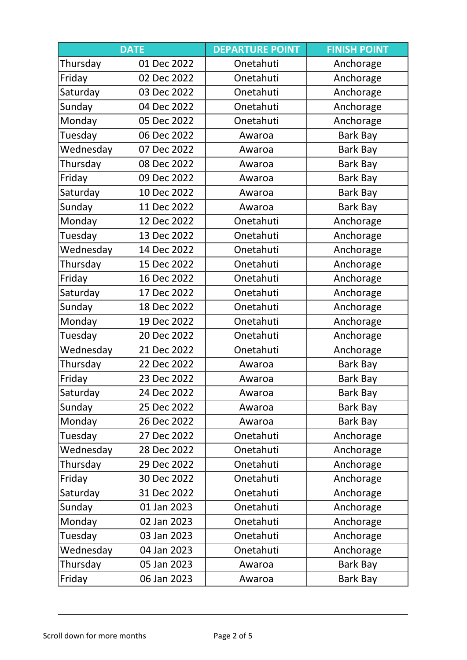|           | <b>DATE</b> | <b>DEPARTURE POINT</b> | <b>FINISH POINT</b> |
|-----------|-------------|------------------------|---------------------|
| Thursday  | 01 Dec 2022 | Onetahuti              | Anchorage           |
| Friday    | 02 Dec 2022 | Onetahuti              | Anchorage           |
| Saturday  | 03 Dec 2022 | Onetahuti              | Anchorage           |
| Sunday    | 04 Dec 2022 | Onetahuti              | Anchorage           |
| Monday    | 05 Dec 2022 | Onetahuti              | Anchorage           |
| Tuesday   | 06 Dec 2022 | Awaroa                 | Bark Bay            |
| Wednesday | 07 Dec 2022 | Awaroa                 | Bark Bay            |
| Thursday  | 08 Dec 2022 | Awaroa                 | Bark Bay            |
| Friday    | 09 Dec 2022 | Awaroa                 | Bark Bay            |
| Saturday  | 10 Dec 2022 | Awaroa                 | Bark Bay            |
| Sunday    | 11 Dec 2022 | Awaroa                 | Bark Bay            |
| Monday    | 12 Dec 2022 | Onetahuti              | Anchorage           |
| Tuesday   | 13 Dec 2022 | Onetahuti              | Anchorage           |
| Wednesday | 14 Dec 2022 | Onetahuti              | Anchorage           |
| Thursday  | 15 Dec 2022 | Onetahuti              | Anchorage           |
| Friday    | 16 Dec 2022 | Onetahuti              | Anchorage           |
| Saturday  | 17 Dec 2022 | Onetahuti              | Anchorage           |
| Sunday    | 18 Dec 2022 | Onetahuti              | Anchorage           |
| Monday    | 19 Dec 2022 | Onetahuti              | Anchorage           |
| Tuesday   | 20 Dec 2022 | Onetahuti              | Anchorage           |
| Wednesday | 21 Dec 2022 | Onetahuti              | Anchorage           |
| Thursday  | 22 Dec 2022 | Awaroa                 | Bark Bay            |
| Friday    | 23 Dec 2022 | Awaroa                 | Bark Bay            |
| Saturday  | 24 Dec 2022 | Awaroa                 | Bark Bay            |
| Sunday    | 25 Dec 2022 | Awaroa                 | Bark Bay            |
| Monday    | 26 Dec 2022 | Awaroa                 | Bark Bay            |
| Tuesday   | 27 Dec 2022 | Onetahuti              | Anchorage           |
| Wednesday | 28 Dec 2022 | Onetahuti              | Anchorage           |
| Thursday  | 29 Dec 2022 | Onetahuti              | Anchorage           |
| Friday    | 30 Dec 2022 | Onetahuti              | Anchorage           |
| Saturday  | 31 Dec 2022 | Onetahuti              | Anchorage           |
| Sunday    | 01 Jan 2023 | Onetahuti              | Anchorage           |
| Monday    | 02 Jan 2023 | Onetahuti              | Anchorage           |
| Tuesday   | 03 Jan 2023 | Onetahuti              | Anchorage           |
| Wednesday | 04 Jan 2023 | Onetahuti              | Anchorage           |
| Thursday  | 05 Jan 2023 | Awaroa                 | Bark Bay            |
| Friday    | 06 Jan 2023 | Awaroa                 | Bark Bay            |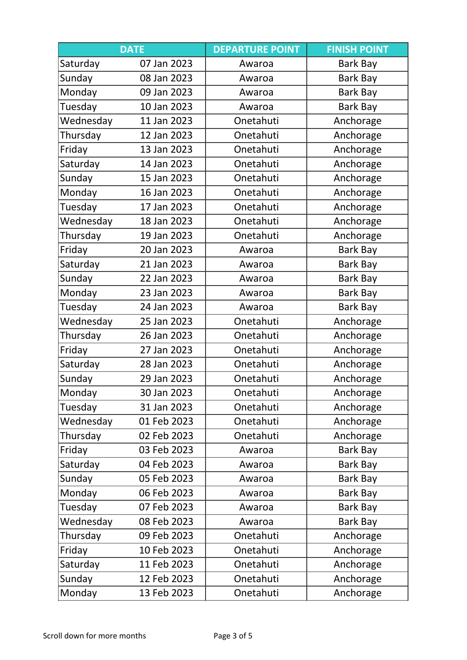|           | <b>DATE</b> | <b>DEPARTURE POINT</b> | <b>FINISH POINT</b> |
|-----------|-------------|------------------------|---------------------|
| Saturday  | 07 Jan 2023 | Awaroa                 | Bark Bay            |
| Sunday    | 08 Jan 2023 | Awaroa                 | Bark Bay            |
| Monday    | 09 Jan 2023 | Awaroa                 | Bark Bay            |
| Tuesday   | 10 Jan 2023 | Awaroa                 | Bark Bay            |
| Wednesday | 11 Jan 2023 | Onetahuti              | Anchorage           |
| Thursday  | 12 Jan 2023 | Onetahuti              | Anchorage           |
| Friday    | 13 Jan 2023 | Onetahuti              | Anchorage           |
| Saturday  | 14 Jan 2023 | Onetahuti              | Anchorage           |
| Sunday    | 15 Jan 2023 | Onetahuti              | Anchorage           |
| Monday    | 16 Jan 2023 | Onetahuti              | Anchorage           |
| Tuesday   | 17 Jan 2023 | Onetahuti              | Anchorage           |
| Wednesday | 18 Jan 2023 | Onetahuti              | Anchorage           |
| Thursday  | 19 Jan 2023 | Onetahuti              | Anchorage           |
| Friday    | 20 Jan 2023 | Awaroa                 | Bark Bay            |
| Saturday  | 21 Jan 2023 | Awaroa                 | Bark Bay            |
| Sunday    | 22 Jan 2023 | Awaroa                 | Bark Bay            |
| Monday    | 23 Jan 2023 | Awaroa                 | Bark Bay            |
| Tuesday   | 24 Jan 2023 | Awaroa                 | Bark Bay            |
| Wednesday | 25 Jan 2023 | Onetahuti              | Anchorage           |
| Thursday  | 26 Jan 2023 | Onetahuti              | Anchorage           |
| Friday    | 27 Jan 2023 | Onetahuti              | Anchorage           |
| Saturday  | 28 Jan 2023 | Onetahuti              | Anchorage           |
| Sunday    | 29 Jan 2023 | Onetahuti              | Anchorage           |
| Monday    | 30 Jan 2023 | Onetahuti              | Anchorage           |
| Tuesday   | 31 Jan 2023 | Onetahuti              | Anchorage           |
| Wednesday | 01 Feb 2023 | Onetahuti              | Anchorage           |
| Thursday  | 02 Feb 2023 | Onetahuti              | Anchorage           |
| Friday    | 03 Feb 2023 | Awaroa                 | Bark Bay            |
| Saturday  | 04 Feb 2023 | Awaroa                 | Bark Bay            |
| Sunday    | 05 Feb 2023 | Awaroa                 | Bark Bay            |
| Monday    | 06 Feb 2023 | Awaroa                 | <b>Bark Bay</b>     |
| Tuesday   | 07 Feb 2023 | Awaroa                 | Bark Bay            |
| Wednesday | 08 Feb 2023 | Awaroa                 | Bark Bay            |
| Thursday  | 09 Feb 2023 | Onetahuti              | Anchorage           |
| Friday    | 10 Feb 2023 | Onetahuti              | Anchorage           |
| Saturday  | 11 Feb 2023 | Onetahuti              | Anchorage           |
| Sunday    | 12 Feb 2023 | Onetahuti              | Anchorage           |
| Monday    | 13 Feb 2023 | Onetahuti              | Anchorage           |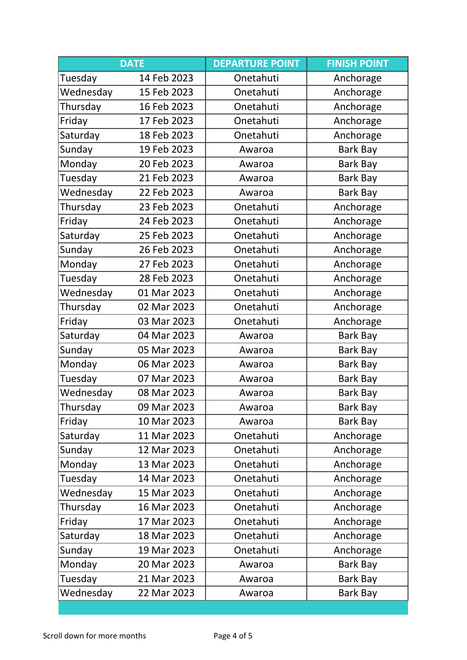|           | <b>DATE</b> | <b>DEPARTURE POINT</b> | <b>FINISH POINT</b> |
|-----------|-------------|------------------------|---------------------|
| Tuesday   | 14 Feb 2023 | Onetahuti              | Anchorage           |
| Wednesday | 15 Feb 2023 | Onetahuti              | Anchorage           |
| Thursday  | 16 Feb 2023 | Onetahuti              | Anchorage           |
| Friday    | 17 Feb 2023 | Onetahuti              | Anchorage           |
| Saturday  | 18 Feb 2023 | Onetahuti              | Anchorage           |
| Sunday    | 19 Feb 2023 | Awaroa                 | Bark Bay            |
| Monday    | 20 Feb 2023 | Awaroa                 | Bark Bay            |
| Tuesday   | 21 Feb 2023 | Awaroa                 | <b>Bark Bay</b>     |
| Wednesday | 22 Feb 2023 | Awaroa                 | Bark Bay            |
| Thursday  | 23 Feb 2023 | Onetahuti              | Anchorage           |
| Friday    | 24 Feb 2023 | Onetahuti              | Anchorage           |
| Saturday  | 25 Feb 2023 | Onetahuti              | Anchorage           |
| Sunday    | 26 Feb 2023 | Onetahuti              | Anchorage           |
| Monday    | 27 Feb 2023 | Onetahuti              | Anchorage           |
| Tuesday   | 28 Feb 2023 | Onetahuti              | Anchorage           |
| Wednesday | 01 Mar 2023 | Onetahuti              | Anchorage           |
| Thursday  | 02 Mar 2023 | Onetahuti              | Anchorage           |
| Friday    | 03 Mar 2023 | Onetahuti              | Anchorage           |
| Saturday  | 04 Mar 2023 | Awaroa                 | Bark Bay            |
| Sunday    | 05 Mar 2023 | Awaroa                 | Bark Bay            |
| Monday    | 06 Mar 2023 | Awaroa                 | Bark Bay            |
| Tuesday   | 07 Mar 2023 | Awaroa                 | Bark Bay            |
| Wednesday | 08 Mar 2023 | Awaroa                 | Bark Bay            |
| Thursday  | 09 Mar 2023 | Awaroa                 | Bark Bay            |
| Friday    | 10 Mar 2023 | Awaroa                 | Bark Bay            |
| Saturday  | 11 Mar 2023 | Onetahuti              | Anchorage           |
| Sunday    | 12 Mar 2023 | Onetahuti              | Anchorage           |
| Monday    | 13 Mar 2023 | Onetahuti              | Anchorage           |
| Tuesday   | 14 Mar 2023 | Onetahuti              | Anchorage           |
| Wednesday | 15 Mar 2023 | Onetahuti              | Anchorage           |
| Thursday  | 16 Mar 2023 | Onetahuti              | Anchorage           |
| Friday    | 17 Mar 2023 | Onetahuti              | Anchorage           |
| Saturday  | 18 Mar 2023 | Onetahuti              | Anchorage           |
| Sunday    | 19 Mar 2023 | Onetahuti              | Anchorage           |
| Monday    | 20 Mar 2023 | Awaroa                 | Bark Bay            |
| Tuesday   | 21 Mar 2023 | Awaroa                 | Bark Bay            |
| Wednesday | 22 Mar 2023 | Awaroa                 | Bark Bay            |